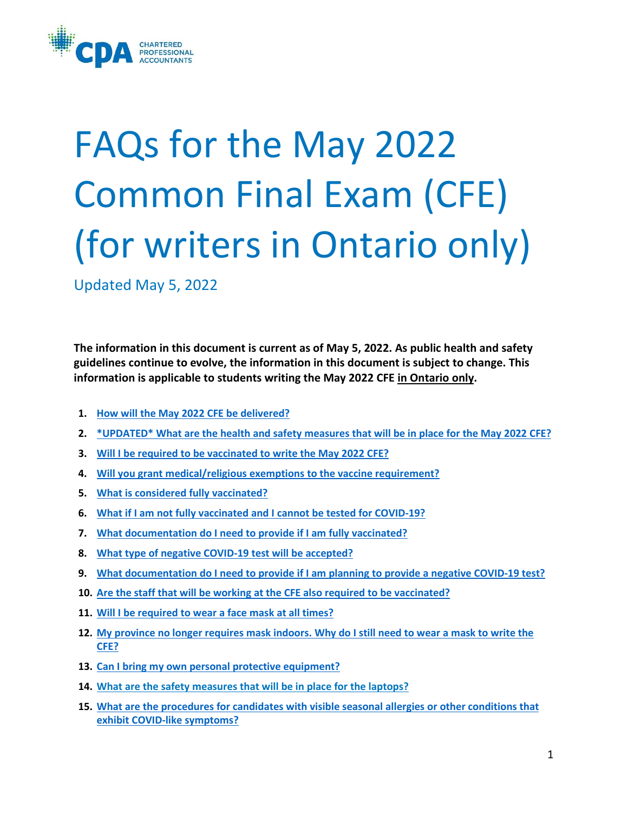

# FAQs for the May 2022 Common Final Exam (CFE) (for writers in Ontario only)

Updated May 5, 2022

**The information in this document is current as of May 5, 2022. As public health and safety guidelines continue to evolve, the information in this document is subject to change. This information is applicable to students writing the May 2022 CFE in Ontario only.** 

- **1. [How will the May 2022 CFE be delivered?](#page-2-0)**
- **2. [\\*UPDATED\\* What are the health and safety measures that will be in place for the May 2022 CFE?](#page-2-1)**
- **3. [Will I be required to be vaccinated to write the May 2022 CFE?](#page-2-2)**
- **4. [Will you grant medical/religious exemptions to the vaccine requirement?](#page-2-3)**
- **5. [What is considered fully vaccinated?](#page-3-0)**
- **6. [What if I am not fully vaccinated and I cannot be tested for COVID-19?](#page-3-1)**
- **7. [What documentation do I need to provide if I am fully vaccinated?](#page-3-2)**
- **8. [What type of negative COVID-19 test will be accepted?](#page-4-0)**
- **9. [What documentation do I need to provide if I am planning to provide a negative COVID-19 test?](#page-5-0)**
- **10. [Are the staff that will be working at the CFE also required to be vaccinated?](#page-6-0)**
- **11. [Will I be required to wear a face mask at all times?](#page-6-1)**
- **12. [My province no longer requires mask indoors. Why do I still need to wear a mask to write the](#page-6-2)  [CFE?](#page-6-2)**
- **13. [Can I bring my own personal protective equipment?](#page-6-3)**
- **14. [What are the safety measures that will be in place for the laptops?](#page-6-4)**
- **15. [What are the procedures for candidates with visible seasonal allergies or other conditions that](#page-6-5)  [exhibit COVID-like symptoms?](#page-6-5)**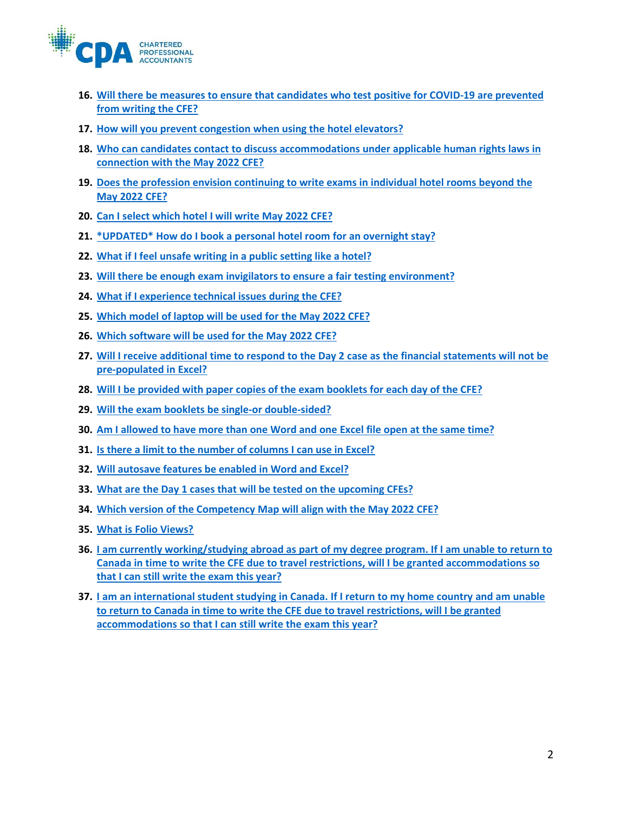

- **16. [Will there be measures to ensure that candidates who test positive for COVID-19 are prevented](#page-6-6)  [from writing the CFE?](#page-6-6)**
- **17. [How will you prevent congestion when using the hotel elevators?](#page-7-0)**
- **18. [Who can candidates contact to discuss accommodations under applicable human rights laws in](#page-7-1)  [connection with the May 2022 CFE?](#page-7-1)**
- **19. [Does the profession envision continuing to write exams in individual hotel rooms beyond the](#page-7-2)  [May 2022 CFE?](#page-7-2)**
- **20. [Can I select which hotel I will write May 2022 CFE?](#page-7-3)**
- **21. [\\*UPDATED\\* How do I book a personal hotel room for an overnight stay?](#page-8-0)**
- **22. [What if I feel unsafe writing in a public setting like a hotel?](#page-8-1)**
- **23. [Will there be enough exam invigilators to ensure a fair testing environment?](#page-8-2)**
- **24. [What if I experience technical issues during the CFE?](#page-8-3)**
- **25. [Which model of laptop will be used for the May 2022 CFE?](#page-8-4)**
- **26. [Which software will be used for the May 2022 CFE?](#page-8-5)**
- **27. [Will I receive additional time to respond to the Day 2 case as the financial statements will not be](#page-9-0)  [pre-populated in Excel?](#page-9-0)**
- **28. [Will I be provided with paper copies of the exam booklets for each day of the CFE?](#page-9-1)**
- **29. [Will the exam booklets be single-or double-sided?](#page-9-2)**
- **30. [Am I allowed to have more than one Word and one Excel file open at the same time?](#page-9-3)**
- **31. [Is there a limit to the number of columns I can use in Excel?](#page-9-4)**
- **32. [Will autosave features be enabled in Word and Excel?](#page-9-5)**
- **33. What are the Day 1 cases that [will be tested on the upcoming CFEs?](#page-9-6)**
- **34. [Which version of the Competency Map will align with the May 2022 CFE?](#page-10-0)**
- **35. [What is Folio Views?](#page-10-1)**
- **36. [I am currently working/studying abroad as part of my degree program. If I am unable to return to](#page-10-2)  [Canada in time to write the CFE due to travel restrictions, will I be granted accommodations so](#page-10-2)  [that I can still write the exam this year?](#page-10-2)**
- **37. [I am an international student studying in Canada. If I return to my home country and am unable](#page-10-3)  [to return to Canada in time to write the CFE due to travel restrictions, will I be granted](#page-10-3)  [accommodations so that I can still write the exam this year?](#page-10-3)**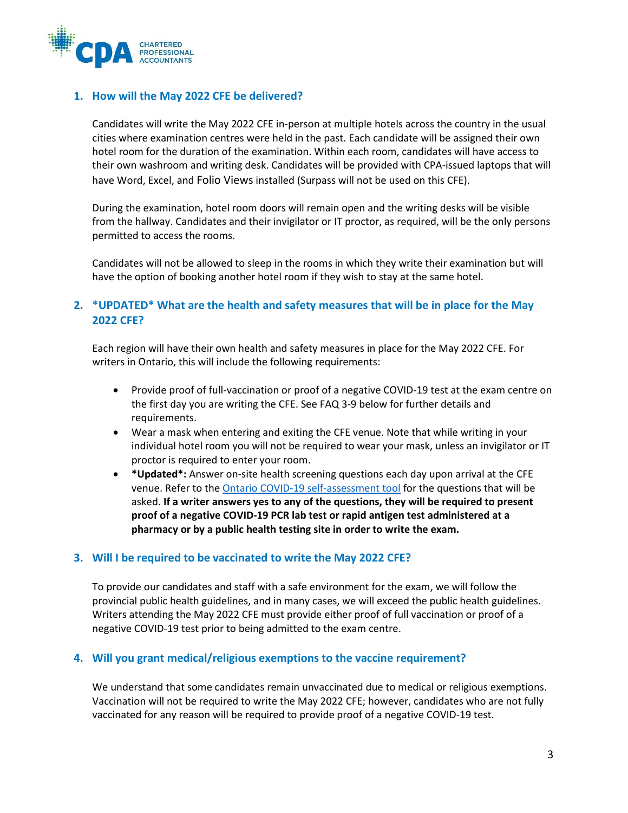

# <span id="page-2-0"></span>**1. How will the May 2022 CFE be delivered?**

Candidates will write the May 2022 CFE in-person at multiple hotels across the country in the usual cities where examination centres were held in the past. Each candidate will be assigned their own hotel room for the duration of the examination. Within each room, candidates will have access to their own washroom and writing desk. Candidates will be provided with CPA-issued laptops that will have Word, Excel, and Folio Views installed (Surpass will not be used on this CFE).

During the examination, hotel room doors will remain open and the writing desks will be visible from the hallway. Candidates and their invigilator or IT proctor, as required, will be the only persons permitted to access the rooms.

Candidates will not be allowed to sleep in the rooms in which they write their examination but will have the option of booking another hotel room if they wish to stay at the same hotel.

# <span id="page-2-1"></span>**2. \*UPDATED\* What are the health and safety measures that will be in place for the May 2022 CFE?**

Each region will have their own health and safety measures in place for the May 2022 CFE. For writers in Ontario, this will include the following requirements:

- Provide proof of full-vaccination or proof of a negative COVID-19 test at the exam centre on the first day you are writing the CFE. See FAQ 3-9 below for further details and requirements.
- Wear a mask when entering and exiting the CFE venue. Note that while writing in your individual hotel room you will not be required to wear your mask, unless an invigilator or IT proctor is required to enter your room.
- **\*Updated\*:** Answer on-site health screening questions each day upon arrival at the CFE venue. Refer to the [Ontario COVID-19 self-assessment tool](https://covid-19.ontario.ca/self-assessment/) for the questions that will be asked. **If a writer answers yes to any of the questions, they will be required to present proof of a negative COVID-19 PCR lab test or rapid antigen test administered at a pharmacy or by a public health testing site in order to write the exam.**

### <span id="page-2-2"></span>**3. Will I be required to be vaccinated to write the May 2022 CFE?**

To provide our candidates and staff with a safe environment for the exam, we will follow the provincial public health guidelines, and in many cases, we will exceed the public health guidelines. Writers attending the May 2022 CFE must provide either proof of full vaccination or proof of a negative COVID-19 test prior to being admitted to the exam centre.

## <span id="page-2-3"></span>**4. Will you grant medical/religious exemptions to the vaccine requirement?**

We understand that some candidates remain unvaccinated due to medical or religious exemptions. Vaccination will not be required to write the May 2022 CFE; however, candidates who are not fully vaccinated for any reason will be required to provide proof of a negative COVID-19 test.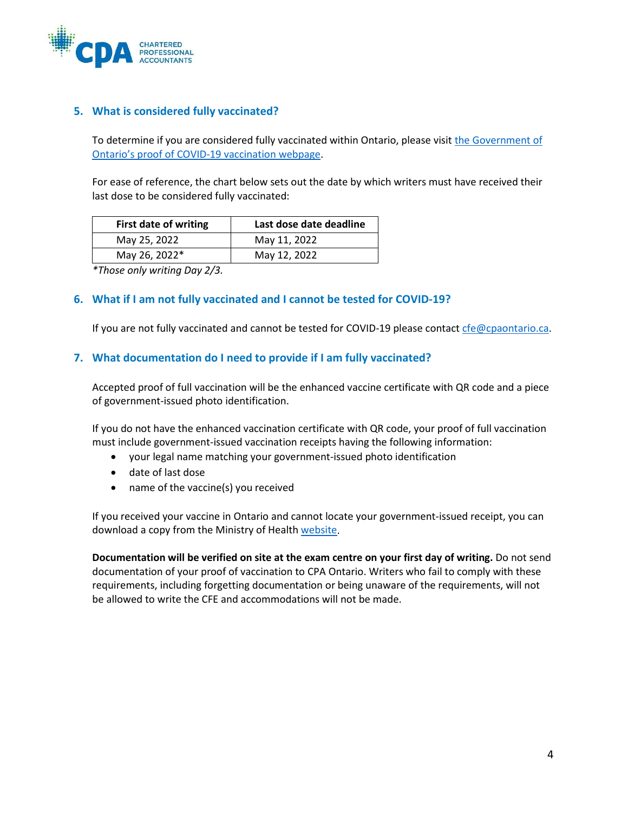

## <span id="page-3-0"></span>**5. What is considered fully vaccinated?**

To determine if you are considered fully vaccinated within Ontario, please visit the Government of [Ontario's proof of COVID-19 vaccination webpage.](https://covid-19.ontario.ca/proof-covid-19-vaccination#proof-of-vaccination)

For ease of reference, the chart below sets out the date by which writers must have received their last dose to be considered fully vaccinated:

| <b>First date of writing</b> | Last dose date deadline |
|------------------------------|-------------------------|
| May 25, 2022                 | May 11, 2022            |
| May 26, 2022*                | May 12, 2022            |

*\*Those only writing Day 2/3.*

# <span id="page-3-1"></span>**6. What if I am not fully vaccinated and I cannot be tested for COVID-19?**

If you are not fully vaccinated and cannot be tested for COVID-19 please contact [cfe@cpaontario.ca.](mailto:cfe@cpaontario.ca)

## <span id="page-3-2"></span>**7. What documentation do I need to provide if I am fully vaccinated?**

Accepted proof of full vaccination will be the enhanced vaccine certificate with QR code and a piece of government-issued photo identification.

If you do not have the enhanced vaccination certificate with QR code, your proof of full vaccination must include government-issued vaccination receipts having the following information:

- your legal name matching your government-issued photo identification
- date of last dose
- name of the vaccine(s) you received

If you received your vaccine in Ontario and cannot locate your government-issued receipt, you can download a copy from the Ministry of Healt[h website.](https://covid-19.ontario.ca/get-proof/)

**Documentation will be verified on site at the exam centre on your first day of writing.** Do not send documentation of your proof of vaccination to CPA Ontario. Writers who fail to comply with these requirements, including forgetting documentation or being unaware of the requirements, will not be allowed to write the CFE and accommodations will not be made.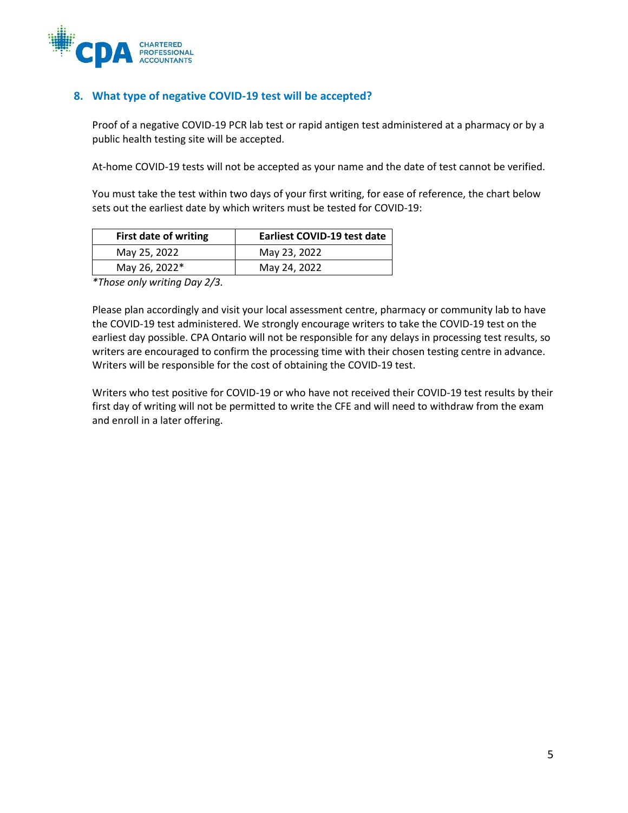

# <span id="page-4-0"></span>**8. What type of negative COVID-19 test will be accepted?**

Proof of a negative COVID-19 PCR lab test or rapid antigen test administered at a pharmacy or by a public health testing site will be accepted.

At-home COVID-19 tests will not be accepted as your name and the date of test cannot be verified.

You must take the test within two days of your first writing, for ease of reference, the chart below sets out the earliest date by which writers must be tested for COVID-19:

| <b>First date of writing</b> | <b>Earliest COVID-19 test date</b> |
|------------------------------|------------------------------------|
| May 25, 2022                 | May 23, 2022                       |
| May 26, 2022*                | May 24, 2022                       |

*\*Those only writing Day 2/3.*

Please plan accordingly and visit your local assessment centre, pharmacy or community lab to have the COVID-19 test administered. We strongly encourage writers to take the COVID-19 test on the earliest day possible. CPA Ontario will not be responsible for any delays in processing test results, so writers are encouraged to confirm the processing time with their chosen testing centre in advance. Writers will be responsible for the cost of obtaining the COVID-19 test.

Writers who test positive for COVID-19 or who have not received their COVID-19 test results by their first day of writing will not be permitted to write the CFE and will need to withdraw from the exam and enroll in a later offering.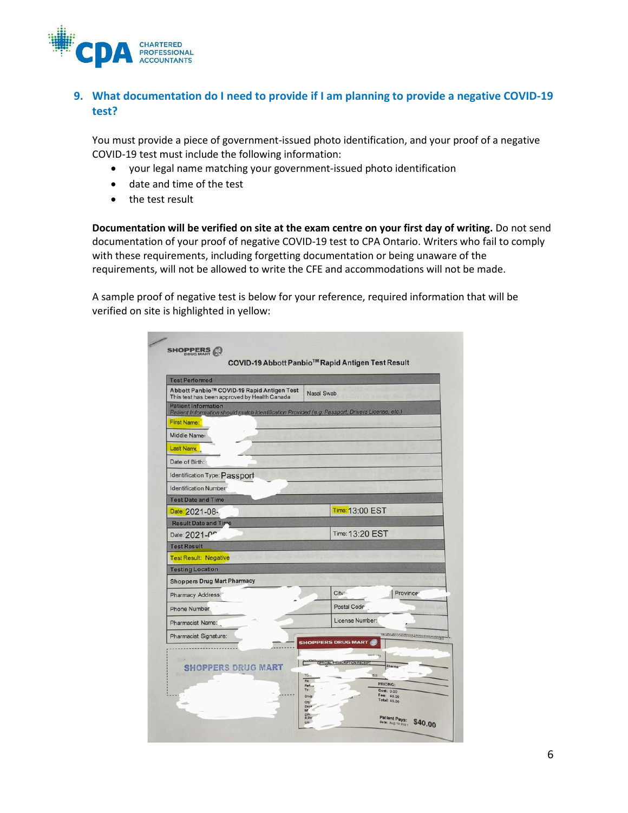

# <span id="page-5-0"></span>**9. What documentation do I need to provide if I am planning to provide a negative COVID-19 test?**

You must provide a piece of government-issued photo identification, and your proof of a negative COVID-19 test must include the following information:

- your legal name matching your government-issued photo identification
- date and time of the test
- the test result

**Documentation will be verified on site at the exam centre on your first day of writing.** Do not send documentation of your proof of negative COVID-19 test to CPA Ontario. Writers who fail to comply with these requirements, including forgetting documentation or being unaware of the requirements, will not be allowed to write the CFE and accommodations will not be made.

A sample proof of negative test is below for your reference, required information that will be verified on site is highlighted in yellow:

| <b>Test Performed</b>                                                                                                 |                                                                 |                                         |  |
|-----------------------------------------------------------------------------------------------------------------------|-----------------------------------------------------------------|-----------------------------------------|--|
| Abbott Panbio™ COVID-19 Rapid Antigen Test<br>This test has been approved by Health Canada                            | Nasal Swab                                                      |                                         |  |
| <b>Patient Information</b>                                                                                            |                                                                 |                                         |  |
| Patient Information should match Identification Provided (e.g. Passport, Drivers License, etc.)<br><b>First Name:</b> |                                                                 |                                         |  |
| Middle Name                                                                                                           |                                                                 |                                         |  |
| Last Name                                                                                                             |                                                                 |                                         |  |
| Date of Birth:                                                                                                        |                                                                 |                                         |  |
| Identification Type: Passport                                                                                         |                                                                 |                                         |  |
| <b>Identification Number</b>                                                                                          |                                                                 |                                         |  |
| <b>Test Date and Time</b>                                                                                             |                                                                 |                                         |  |
| Date: 2021-08-                                                                                                        |                                                                 | Time: 13:00 EST                         |  |
| <b>Result Date and Time</b>                                                                                           |                                                                 |                                         |  |
| Date: 2021-00                                                                                                         |                                                                 | Time: 13:20 EST                         |  |
| <b>Test Result</b>                                                                                                    |                                                                 |                                         |  |
| <b>Test Result: Negative</b>                                                                                          |                                                                 |                                         |  |
| <b>Testing Location</b>                                                                                               |                                                                 |                                         |  |
| <b>Shoppers Drug Mart Pharmacy</b>                                                                                    |                                                                 |                                         |  |
| Pharmacy Address:                                                                                                     | City:                                                           | Province <sup>-</sup>                   |  |
| Phone Number.                                                                                                         | <b>Postal Code</b>                                              |                                         |  |
| Pharmacist Name:                                                                                                      | License Number:                                                 |                                         |  |
| Pharmacist Signature:                                                                                                 |                                                                 | 80430480004000000400000000000000000     |  |
|                                                                                                                       | <b>SHOPPERS DRUG MART</b>                                       |                                         |  |
| <b>SHOPPERS DRUG MART</b>                                                                                             | OFFICIAL PRESCRIPTION RECEIPT<br>$\overline{Rx}$<br>Refi<br>Tx: | Pharma<br>805<br>PRICING:<br>Cost: 0.00 |  |

 $\overline{\phantom{a}}$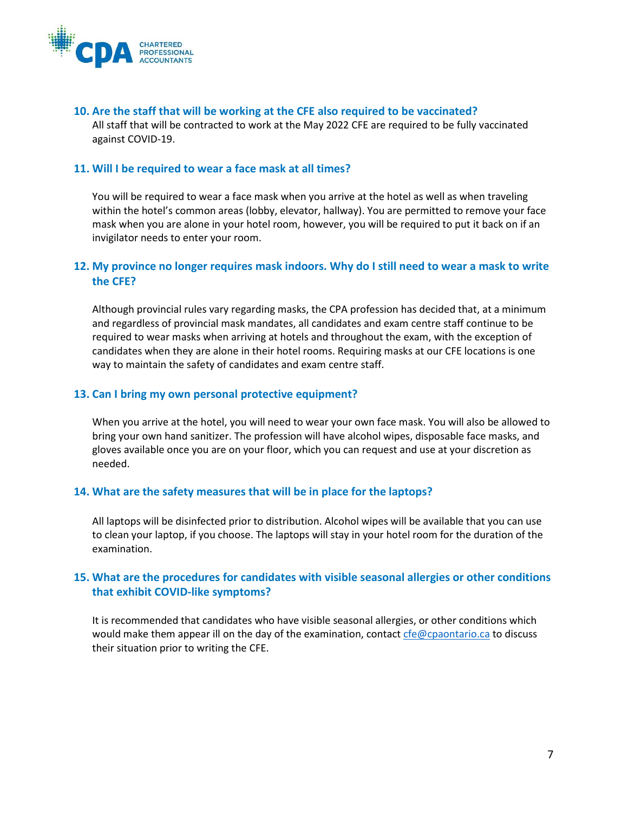

### <span id="page-6-0"></span>**10. Are the staff that will be working at the CFE also required to be vaccinated?**

All staff that will be contracted to work at the May 2022 CFE are required to be fully vaccinated against COVID-19.

### <span id="page-6-1"></span>**11. Will I be required to wear a face mask at all times?**

You will be required to wear a face mask when you arrive at the hotel as well as when traveling within the hotel's common areas (lobby, elevator, hallway). You are permitted to remove your face mask when you are alone in your hotel room, however, you will be required to put it back on if an invigilator needs to enter your room.

# <span id="page-6-2"></span>**12. My province no longer requires mask indoors. Why do I still need to wear a mask to write the CFE?**

Although provincial rules vary regarding masks, the CPA profession has decided that, at a minimum and regardless of provincial mask mandates, all candidates and exam centre staff continue to be required to wear masks when arriving at hotels and throughout the exam, with the exception of candidates when they are alone in their hotel rooms. Requiring masks at our CFE locations is one way to maintain the safety of candidates and exam centre staff.

## <span id="page-6-3"></span>**13. Can I bring my own personal protective equipment?**

When you arrive at the hotel, you will need to wear your own face mask. You will also be allowed to bring your own hand sanitizer. The profession will have alcohol wipes, disposable face masks, and gloves available once you are on your floor, which you can request and use at your discretion as needed.

### <span id="page-6-4"></span>**14. What are the safety measures that will be in place for the laptops?**

All laptops will be disinfected prior to distribution. Alcohol wipes will be available that you can use to clean your laptop, if you choose. The laptops will stay in your hotel room for the duration of the examination.

## <span id="page-6-5"></span>**15. What are the procedures for candidates with visible seasonal allergies or other conditions that exhibit COVID-like symptoms?**

<span id="page-6-6"></span>It is recommended that candidates who have visible seasonal allergies, or other conditions which would make them appear ill on the day of the examination, contact  $\text{ce@cpa}$  ontario.ca to discuss their situation prior to writing the CFE.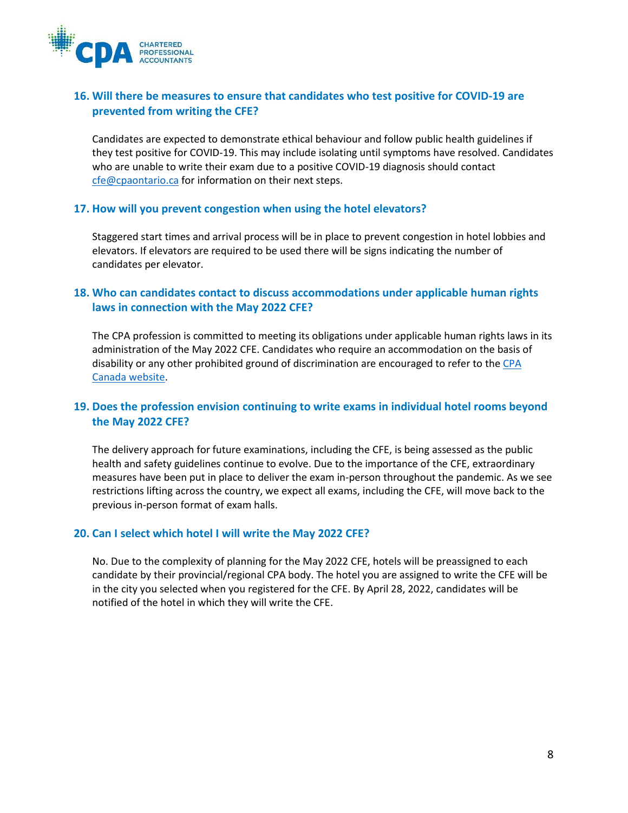

# **16. Will there be measures to ensure that candidates who test positive for COVID-19 are prevented from writing the CFE?**

Candidates are expected to demonstrate ethical behaviour and follow public health guidelines if they test positive for COVID-19. This may include isolating until symptoms have resolved. Candidates who are unable to write their exam due to a positive COVID-19 diagnosis should contact [cfe@cpaontario.ca](mailto:cfe@cpaontario.ca) for information on their next steps.

## <span id="page-7-0"></span>**17. How will you prevent congestion when using the hotel elevators?**

Staggered start times and arrival process will be in place to prevent congestion in hotel lobbies and elevators. If elevators are required to be used there will be signs indicating the number of candidates per elevator.

# <span id="page-7-1"></span>**18. Who can candidates contact to discuss accommodations under applicable human rights laws in connection with the May 2022 CFE?**

The CPA profession is committed to meeting its obligations under applicable human rights laws in its administration of the May 2022 CFE. Candidates who require an accommodation on the basis of disability or any other prohibited ground of discrimination are encouraged to refer to th[e CPA](https://www.cpacanada.ca/en/become-a-cpa/accessibility-accommodation-requests)  [Canada website.](https://www.cpacanada.ca/en/become-a-cpa/accessibility-accommodation-requests)

# <span id="page-7-2"></span>**19. Does the profession envision continuing to write exams in individual hotel rooms beyond the May 2022 CFE?**

The delivery approach for future examinations, including the CFE, is being assessed as the public health and safety guidelines continue to evolve. Due to the importance of the CFE, extraordinary measures have been put in place to deliver the exam in-person throughout the pandemic. As we see restrictions lifting across the country, we expect all exams, including the CFE, will move back to the previous in-person format of exam halls.

## <span id="page-7-3"></span>**20. Can I select which hotel I will write the May 2022 CFE?**

No. Due to the complexity of planning for the May 2022 CFE, hotels will be preassigned to each candidate by their provincial/regional CPA body. The hotel you are assigned to write the CFE will be in the city you selected when you registered for the CFE. By April 28, 2022, candidates will be notified of the hotel in which they will write the CFE.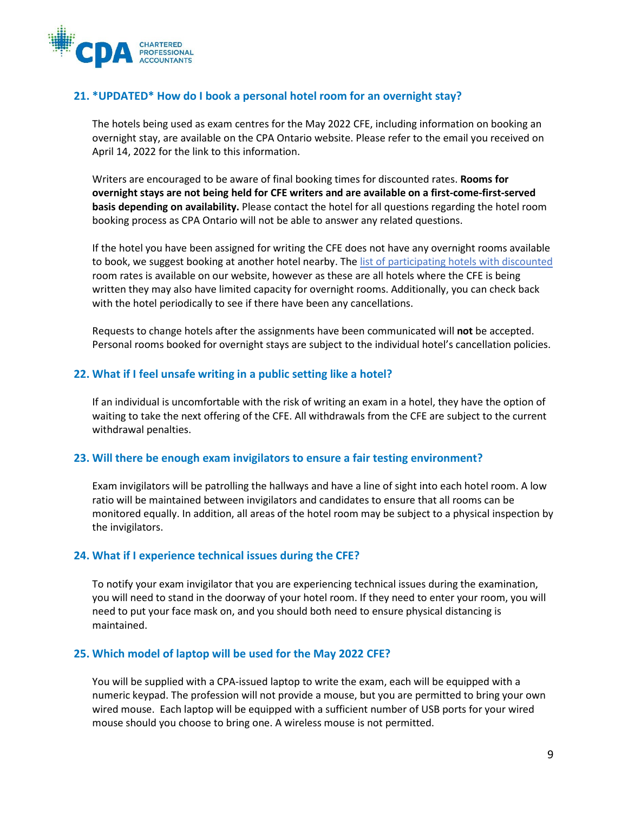

# <span id="page-8-0"></span>**21. \*UPDATED\* How do I book a personal hotel room for an overnight stay?**

The hotels being used as exam centres for the May 2022 CFE, including information on booking an overnight stay, are available on the CPA Ontario website. Please refer to the email you received on April 14, 2022 for the link to this information.

Writers are encouraged to be aware of final booking times for discounted rates. **Rooms for overnight stays are not being held for CFE writers and are available on a first-come-first-served basis depending on availability.** Please contact the hotel for all questions regarding the hotel room booking process as CPA Ontario will not be able to answer any related questions.

If the hotel you have been assigned for writing the CFE does not have any overnight rooms available to book, we suggest booking at another hotel nearby. The [list of participating hotels with discounted](https://www.cpaontario.ca/students/common-final-examination) [room rates](https://www.cpaontario.ca/students/common-final-examination) is available on [our website,](https://www.cpaontario.ca/students/common-final-examination) however as these are all hotels where the CFE is being written they may also have limited capacity for overnight rooms. Additionally, you can check back with the hotel periodically to see if there have been any cancellations.

Requests to change hotels after the assignments have been communicated will **not** be accepted. Personal rooms booked for overnight stays are subject to the individual hotel's cancellation policies.

## <span id="page-8-1"></span>**22. What if I feel unsafe writing in a public setting like a hotel?**

If an individual is uncomfortable with the risk of writing an exam in a hotel, they have the option of waiting to take the next offering of the CFE. All withdrawals from the CFE are subject to the current withdrawal penalties.

### <span id="page-8-2"></span>**23. Will there be enough exam invigilators to ensure a fair testing environment?**

Exam invigilators will be patrolling the hallways and have a line of sight into each hotel room. A low ratio will be maintained between invigilators and candidates to ensure that all rooms can be monitored equally. In addition, all areas of the hotel room may be subject to a physical inspection by the invigilators.

### <span id="page-8-3"></span>**24. What if I experience technical issues during the CFE?**

To notify your exam invigilator that you are experiencing technical issues during the examination, you will need to stand in the doorway of your hotel room. If they need to enter your room, you will need to put your face mask on, and you should both need to ensure physical distancing is maintained.

#### <span id="page-8-4"></span>**25. Which model of laptop will be used for the May 2022 CFE?**

<span id="page-8-5"></span>You will be supplied with a CPA-issued laptop to write the exam, each will be equipped with a numeric keypad. The profession will not provide a mouse, but you are permitted to bring your own wired mouse. Each laptop will be equipped with a sufficient number of USB ports for your wired mouse should you choose to bring one. A wireless mouse is not permitted.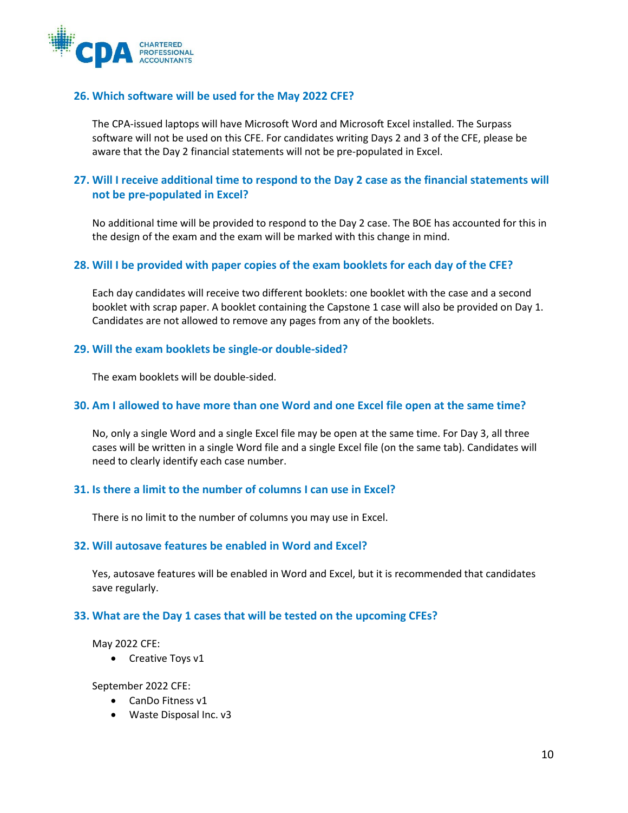

## **26. Which software will be used for the May 2022 CFE?**

The CPA-issued laptops will have Microsoft Word and Microsoft Excel installed. The Surpass software will not be used on this CFE. For candidates writing Days 2 and 3 of the CFE, please be aware that the Day 2 financial statements will not be pre-populated in Excel.

# <span id="page-9-0"></span>**27. Will I receive additional time to respond to the Day 2 case as the financial statements will not be pre-populated in Excel?**

No additional time will be provided to respond to the Day 2 case. The BOE has accounted for this in the design of the exam and the exam will be marked with this change in mind.

## <span id="page-9-1"></span>**28. Will I be provided with paper copies of the exam booklets for each day of the CFE?**

Each day candidates will receive two different booklets: one booklet with the case and a second booklet with scrap paper. A booklet containing the Capstone 1 case will also be provided on Day 1. Candidates are not allowed to remove any pages from any of the booklets.

## <span id="page-9-2"></span>**29. Will the exam booklets be single-or double-sided?**

The exam booklets will be double-sided.

### <span id="page-9-3"></span>**30. Am I allowed to have more than one Word and one Excel file open at the same time?**

No, only a single Word and a single Excel file may be open at the same time. For Day 3, all three cases will be written in a single Word file and a single Excel file (on the same tab). Candidates will need to clearly identify each case number.

### <span id="page-9-4"></span>**31. Is there a limit to the number of columns I can use in Excel?**

There is no limit to the number of columns you may use in Excel.

### <span id="page-9-5"></span>**32. Will autosave features be enabled in Word and Excel?**

Yes, autosave features will be enabled in Word and Excel, but it is recommended that candidates save regularly.

### <span id="page-9-6"></span>**33. What are the Day 1 cases that will be tested on the upcoming CFEs?**

May 2022 CFE:

• Creative Toys v1

September 2022 CFE:

- CanDo Fitness v1
- Waste Disposal Inc. v3